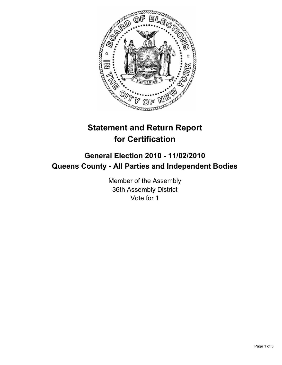

# **Statement and Return Report for Certification**

# **General Election 2010 - 11/02/2010 Queens County - All Parties and Independent Bodies**

Member of the Assembly 36th Assembly District Vote for 1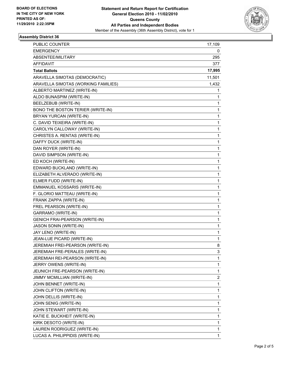

## **Assembly District 36**

| PUBLIC COUNTER                        | 17,109 |
|---------------------------------------|--------|
| <b>EMERGENCY</b>                      | 0      |
| ABSENTEE/MILITARY                     | 295    |
| <b>AFFIDAVIT</b>                      | 377    |
| <b>Total Ballots</b>                  | 17,995 |
| ARAVELLA SIMOTAS (DEMOCRATIC)         | 11,501 |
| ARAVELLA SIMOTAS (WORKING FAMILIES)   | 1,432  |
| ALBERTO MARTINEZ (WRITE-IN)           | 1      |
| ALDO BUNASPIM (WRITE-IN)              | 1      |
| BEELZEBUB (WRITE-IN)                  | 1      |
| BONO THE BOSTON TERIER (WRITE-IN)     | 1      |
| BRYAN YURCAN (WRITE-IN)               | 1      |
| C. DAVID TEIXEIRA (WRITE-IN)          | 1      |
| CAROLYN CALLOWAY (WRITE-IN)           | 1      |
| CHRISTES A. RENTAS (WRITE-IN)         | 1      |
| DAFFY DUCK (WRITE-IN)                 | 1      |
| DAN ROYER (WRITE-IN)                  | 1      |
| DAVID SIMPSON (WRITE-IN)              | 1      |
| ED KOCH (WRITE-IN)                    | 1      |
| EDWARD BUCKLAND (WRITE-IN)            | 1      |
| ELIZABETH ALVERADO (WRITE-IN)         | 1      |
| ELMER FUDD (WRITE-IN)                 | 1      |
| EMMANUEL KOSSARIS (WRITE-IN)          | 1      |
| F. GLORIO MATTEAU (WRITE-IN)          | 1      |
| FRANK ZAPPA (WRITE-IN)                | 1      |
| FREL PEARSON (WRITE-IN)               | 1      |
| GARRAMO (WRITE-IN)                    | 1      |
| <b>GENICH FRAI-PEARSON (WRITE-IN)</b> | 1      |
| <b>JASON SONIN (WRITE-IN)</b>         | 1      |
| JAY LENO (WRITE-IN)                   | 1      |
| JEAN-LUE PICARD (WRITE-IN)            | 1      |
| JEREMIAH FREI-PEARSON (WRITE-IN)      | 8      |
| JEREMIAH FRE-PERALES (WRITE-IN)       | 3      |
| JEREMIAH REI-PEARSON (WRITE-IN)       | 1      |
| JERRY OWENS (WRITE-IN)                | 1      |
| JEUNICH FRE-PEARSON (WRITE-IN)        | 1      |
| JIMMY MCMILLIAN (WRITE-IN)            | 2      |
| JOHN BENNET (WRITE-IN)                | 1      |
| JOHN CLIFTON (WRITE-IN)               | 1      |
| JOHN DELLIS (WRITE-IN)                | 1      |
| JOHN SENIG (WRITE-IN)                 | 1      |
| JOHN STEWART (WRITE-IN)               | 1      |
| KATIE E. BUCKHEIT (WRITE-IN)          | 1      |
| KIRK DESOTO (WRITE-IN)                | 1      |
| LAUREN RODRIGUEZ (WRITE-IN)           | 1      |
| LUCAS A. PHILIPPIDIS (WRITE-IN)       | 1      |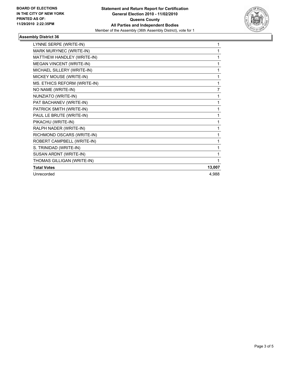

## **Assembly District 36**

| LYNNE SERPE (WRITE-IN)       | 1      |
|------------------------------|--------|
| MARK MURYNEC (WRITE-IN)      |        |
| MATTHEW HANDLEY (WRITE-IN)   |        |
| MEGAN VINCENT (WRITE-IN)     | 1      |
| MICHAEL SILLERY (WRITE-IN)   | 1      |
| MICKEY MOUSE (WRITE-IN)      | 1      |
| MS. ETHICS REFORM (WRITE-IN) | 1      |
| NO NAME (WRITE-IN)           | 7      |
| NUNZIATO (WRITE-IN)          | 1      |
| PAT BACHANEV (WRITE-IN)      | 1      |
| PATRICK SMITH (WRITE-IN)     | 1      |
| PAUL LE BRUTE (WRITE-IN)     | 1      |
| PIKACHU (WRITE-IN)           | 1      |
| RALPH NADER (WRITE-IN)       | 1      |
| RICHMOND OSCARS (WRITE-IN)   | 1      |
| ROBERT CAMPBELL (WRITE-IN)   | 1      |
| S. TRINIDAD (WRITE-IN)       | 1      |
| SUSAN ARDNT (WRITE-IN)       |        |
| THOMAS GILLIGAN (WRITE-IN)   |        |
| <b>Total Votes</b>           | 13,007 |
| Unrecorded                   | 4,988  |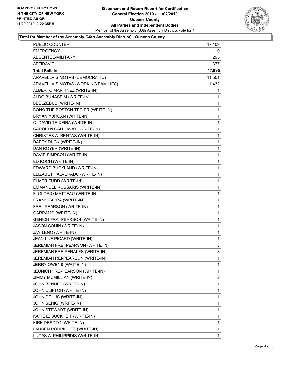

#### **Total for Member of the Assembly (36th Assembly District) - Queens County**

| PUBLIC COUNTER                        | 17,109       |
|---------------------------------------|--------------|
| <b>EMERGENCY</b>                      | 0            |
| ABSENTEE/MILITARY                     | 295          |
| AFFIDAVIT                             | 377          |
| <b>Total Ballots</b>                  | 17,995       |
| ARAVELLA SIMOTAS (DEMOCRATIC)         | 11,501       |
| ARAVELLA SIMOTAS (WORKING FAMILIES)   | 1,432        |
| ALBERTO MARTINEZ (WRITE-IN)           | 1            |
| ALDO BUNASPIM (WRITE-IN)              | 1            |
| BEELZEBUB (WRITE-IN)                  | 1            |
| BONO THE BOSTON TERIER (WRITE-IN)     | 1            |
| BRYAN YURCAN (WRITE-IN)               | 1            |
| C. DAVID TEIXEIRA (WRITE-IN)          | 1            |
| CAROLYN CALLOWAY (WRITE-IN)           | 1            |
| CHRISTES A. RENTAS (WRITE-IN)         | 1            |
| DAFFY DUCK (WRITE-IN)                 | 1            |
| DAN ROYER (WRITE-IN)                  | 1            |
| DAVID SIMPSON (WRITE-IN)              | 1            |
| ED KOCH (WRITE-IN)                    | 1            |
| EDWARD BUCKLAND (WRITE-IN)            | 1            |
| ELIZABETH ALVERADO (WRITE-IN)         | 1            |
| ELMER FUDD (WRITE-IN)                 | 1            |
| EMMANUEL KOSSARIS (WRITE-IN)          | 1            |
| F. GLORIO MATTEAU (WRITE-IN)          | 1            |
| FRANK ZAPPA (WRITE-IN)                | 1            |
| FREL PEARSON (WRITE-IN)               | 1            |
| GARRAMO (WRITE-IN)                    | 1            |
| <b>GENICH FRAI-PEARSON (WRITE-IN)</b> | 1            |
| <b>JASON SONIN (WRITE-IN)</b>         | 1            |
| JAY LENO (WRITE-IN)                   | $\mathbf{1}$ |
| JEAN-LUE PICARD (WRITE-IN)            | 1            |
| JEREMIAH FREI-PEARSON (WRITE-IN)      | 8            |
| JEREMIAH FRE-PERALES (WRITE-IN)       | 3            |
| JEREMIAH REI-PEARSON (WRITE-IN)       | 1            |
| JERRY OWENS (WRITE-IN)                | 1            |
| JEUNICH FRE-PEARSON (WRITE-IN)        | 1            |
| JIMMY MCMILLIAN (WRITE-IN)            | 2            |
| JOHN BENNET (WRITE-IN)                | 1            |
| JOHN CLIFTON (WRITE-IN)               | 1            |
| JOHN DELLIS (WRITE-IN)                | 1            |
| JOHN SENIG (WRITE-IN)                 | 1            |
| JOHN STEWART (WRITE-IN)               | 1            |
| KATIE E. BUCKHEIT (WRITE-IN)          | 1            |
| KIRK DESOTO (WRITE-IN)                | 1            |
| LAUREN RODRIGUEZ (WRITE-IN)           | 1            |
| LUCAS A. PHILIPPIDIS (WRITE-IN)       | 1            |